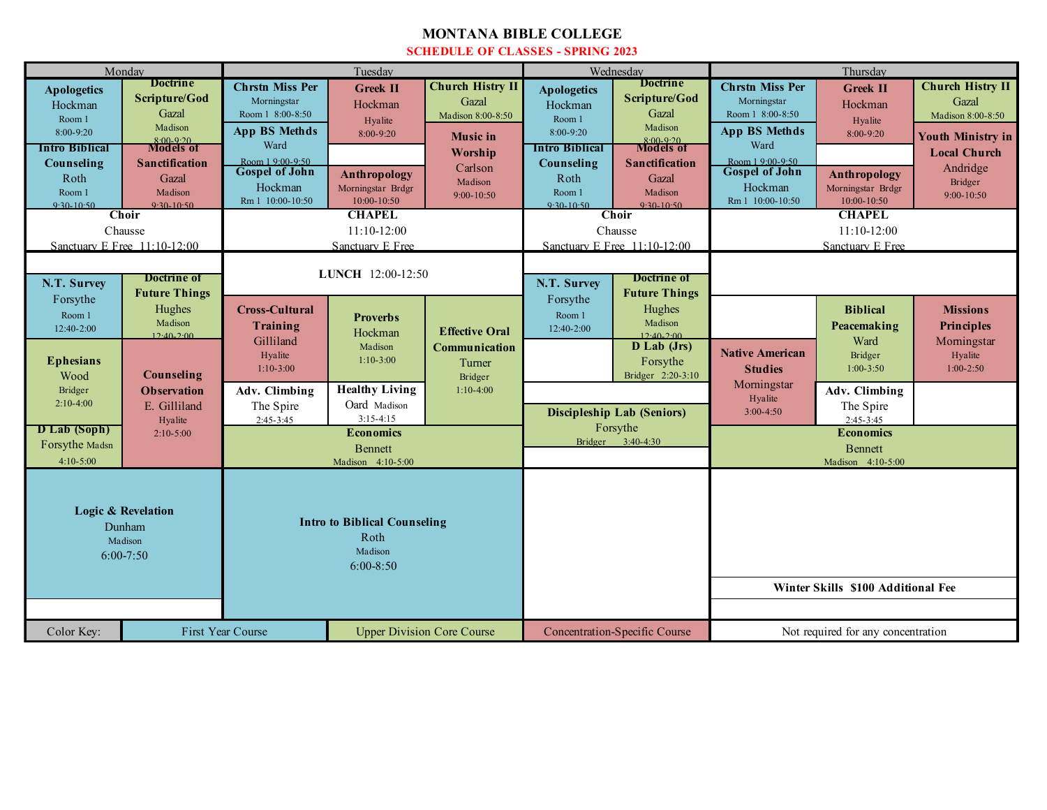## **MONTANA BIBLE COLLEGE SCHEDULE OF CLASSES - SPRING 2023**

| Monday                       |                                  | Tuesday                                                       |                       |                               | Wednesday                        |                                      | Thursday                           |                     |                          |
|------------------------------|----------------------------------|---------------------------------------------------------------|-----------------------|-------------------------------|----------------------------------|--------------------------------------|------------------------------------|---------------------|--------------------------|
| <b>Apologetics</b>           | <b>Doctrine</b><br>Scripture/God | <b>Chrstn Miss Per</b>                                        | <b>Greek II</b>       | <b>Church Histry II</b>       | <b>Apologetics</b>               | <b>Doctrine</b><br>Scripture/God     | <b>Chrstn Miss Per</b>             | <b>Greek II</b>     | <b>Church Histry II</b>  |
| Hockman                      | Gazal                            | Morningstar<br>Room 1 8:00-8:50                               | Hockman               | Gazal<br>Madison 8:00-8:50    | Hockman                          | Gazal                                | Morningstar<br>Room 1 8:00-8:50    | Hockman             | Gazal                    |
| Room 1                       | Madison                          | App BS Methds                                                 | Hyalite               |                               | Room 1                           | Madison                              | <b>App BS Methds</b>               | Hyalite             | Madison 8:00-8:50        |
| 8:00-9:20                    | $8:00-9:20$<br>Models of         | Ward                                                          | 8:00-9:20             | <b>Music</b> in               | 8:00-9:20                        | $8:00-9:20$<br><b>Models of</b>      | Ward                               | $8:00-9:20$         | <b>Youth Ministry in</b> |
| Intro Biblical               |                                  | Room 1 9:00-9:50                                              |                       | Worship                       | Intro Biblical                   |                                      | Room 1 9:00-9:50                   |                     | <b>Local Church</b>      |
| Counseling                   | <b>Sanctification</b><br>Gazal   | <b>Gospel of John</b>                                         | <b>Anthropology</b>   | Carlson                       | Counseling<br>Roth               | Sanctification                       | <b>Gospel of John</b>              | <b>Anthropology</b> | Andridge                 |
| Roth<br>Room 1               | Madison                          | Hockman                                                       | Morningstar Brdgr     | Madison                       | Room 1                           | Gazal<br>Madison                     | Hockman                            | Morningstar Brdgr   | Bridger                  |
| $9.30 - 10.50$               | $9.30 - 10.50$                   | Rm 1 10:00-10:50                                              | 10:00-10:50           | $9:00 - 10:50$                | $9.30 - 10.50$                   | $9.30 - 10.50$                       | Rm 1 10:00-10:50                   | 10:00-10:50         | $9:00 - 10:50$           |
| <b>Choir</b>                 |                                  | <b>CHAPEL</b>                                                 |                       |                               | Choir                            |                                      | <b>CHAPEL</b>                      |                     |                          |
| Chausse                      |                                  | $11:10-12:00$                                                 |                       |                               | Chausse                          |                                      | $11:10-12:00$                      |                     |                          |
| Sanctuary E Free 11:10-12:00 |                                  | Sanctuary E Free                                              |                       |                               | Sanctuary E Free 11:10-12:00     |                                      | Sanctuary E Free                   |                     |                          |
|                              |                                  |                                                               |                       |                               |                                  |                                      |                                    |                     |                          |
| Doctrine of<br>N.T. Survey   |                                  | LUNCH 12:00-12:50                                             |                       |                               | Doctrine of<br>N.T. Survey       |                                      |                                    |                     |                          |
| Forsythe                     | <b>Future Things</b>             |                                                               |                       |                               | <b>Future Things</b><br>Forsythe |                                      |                                    |                     |                          |
| Room 1                       | Hughes                           | <b>Cross-Cultural</b>                                         | <b>Proverbs</b>       |                               | Room 1                           | Hughes                               |                                    | <b>Biblical</b>     | <b>Missions</b>          |
| 12:40-2:00                   | Madison                          | <b>Training</b>                                               | Hockman               | <b>Effective Oral</b>         | 12:40-2:00                       | Madison                              |                                    | Peacemaking         | <b>Principles</b>        |
|                              | $12:40-2:00$                     | Gilliland                                                     | Madison               | Communication                 |                                  | $12.40 - 2.00$<br>D Lab (Jrs)        |                                    | Ward                | Morningstar              |
| <b>Ephesians</b>             |                                  | Hyalite                                                       | $1:10-3:00$           | Turner                        |                                  | Forsythe                             | <b>Native American</b>             | Bridger             | Hyalite                  |
| Wood                         | Counseling                       | $1:10-3:00$                                                   |                       | Bridger                       |                                  | Bridger 2:20-3:10                    | <b>Studies</b>                     | $1:00 - 3:50$       | $1:00-2:50$              |
| Bridger                      | <b>Observation</b>               | Adv. Climbing                                                 | <b>Healthy Living</b> | $1:10-4:00$                   |                                  |                                      | Morningstar                        | Adv. Climbing       |                          |
| $2:10-4:00$                  | E. Gilliland                     | The Spire                                                     | Oard Madison          |                               |                                  |                                      | Hyalite<br>$3:00-4:50$             | The Spire           |                          |
|                              | Hyalite                          | $2:45-3:45$                                                   | $3:15-4:15$           |                               |                                  | <b>Discipleship Lab (Seniors)</b>    |                                    | $2:45-3:45$         |                          |
| D Lab (Soph)                 | $2:10-5:00$                      | <b>Economics</b>                                              |                       | Forsythe<br>Bridger 3:40-4:30 |                                  | <b>Economics</b>                     |                                    |                     |                          |
| Forsythe Madsn               |                                  |                                                               | <b>Bennett</b>        |                               |                                  |                                      | <b>B</b> ennett                    |                     |                          |
| $4:10 - 5:00$                |                                  | Madison 4:10-5:00                                             |                       |                               |                                  |                                      | Madison 4:10-5:00                  |                     |                          |
|                              |                                  |                                                               |                       |                               |                                  |                                      |                                    |                     |                          |
|                              |                                  |                                                               |                       |                               |                                  |                                      |                                    |                     |                          |
|                              | <b>Logic &amp; Revelation</b>    |                                                               |                       |                               |                                  |                                      |                                    |                     |                          |
| Dunham                       |                                  | <b>Intro to Biblical Counseling</b>                           |                       |                               |                                  |                                      |                                    |                     |                          |
| Madison                      |                                  | Roth<br>Madison                                               |                       |                               |                                  |                                      |                                    |                     |                          |
| $6:00 - 7:50$                |                                  | $6:00-8:50$                                                   |                       |                               |                                  |                                      |                                    |                     |                          |
|                              |                                  |                                                               |                       |                               |                                  |                                      |                                    |                     |                          |
|                              |                                  |                                                               |                       |                               |                                  |                                      | Winter Skills \$100 Additional Fee |                     |                          |
|                              |                                  |                                                               |                       |                               |                                  |                                      |                                    |                     |                          |
| Color Key:                   |                                  | <b>First Year Course</b><br><b>Upper Division Core Course</b> |                       |                               |                                  | <b>Concentration-Specific Course</b> | Not required for any concentration |                     |                          |